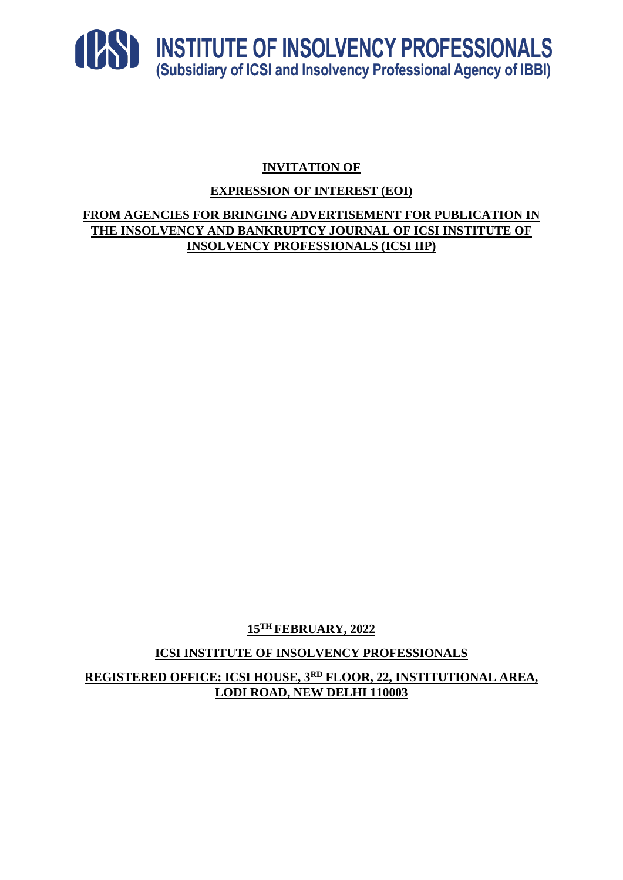

# **INVITATION OF**

## **EXPRESSION OF INTEREST (EOI)**

**FROM AGENCIES FOR BRINGING ADVERTISEMENT FOR PUBLICATION IN THE INSOLVENCY AND BANKRUPTCY JOURNAL OF ICSI INSTITUTE OF INSOLVENCY PROFESSIONALS (ICSI IIP)**

**15TH FEBRUARY, 2022**

**ICSI INSTITUTE OF INSOLVENCY PROFESSIONALS**

**REGISTERED OFFICE: ICSI HOUSE, 3RD FLOOR, 22, INSTITUTIONAL AREA, LODI ROAD, NEW DELHI 110003**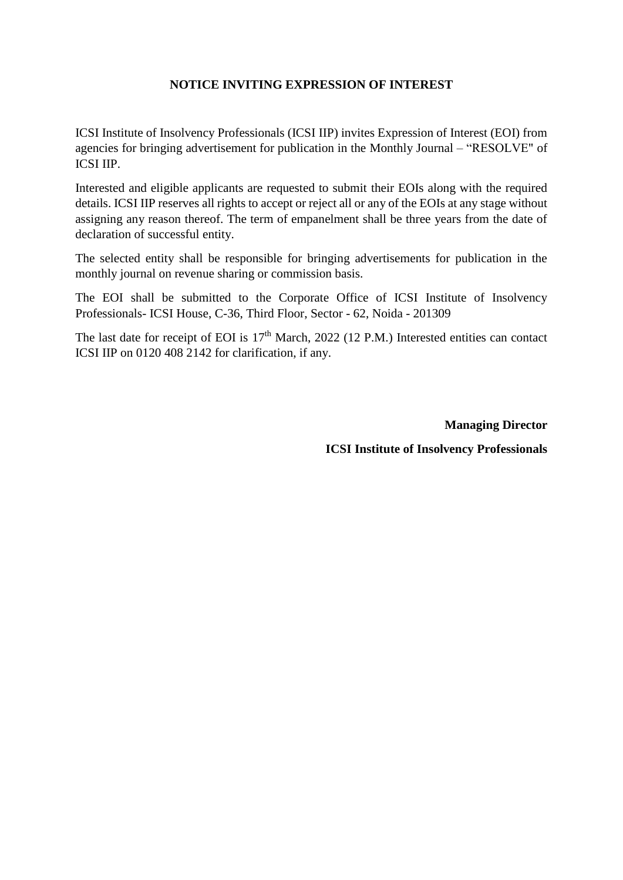## **NOTICE INVITING EXPRESSION OF INTEREST**

ICSI Institute of Insolvency Professionals (ICSI IIP) invites Expression of Interest (EOI) from agencies for bringing advertisement for publication in the Monthly Journal – "RESOLVE" of ICSI IIP.

Interested and eligible applicants are requested to submit their EOIs along with the required details. ICSI IIP reserves all rights to accept or reject all or any of the EOIs at any stage without assigning any reason thereof. The term of empanelment shall be three years from the date of declaration of successful entity.

The selected entity shall be responsible for bringing advertisements for publication in the monthly journal on revenue sharing or commission basis.

The EOI shall be submitted to the Corporate Office of ICSI Institute of Insolvency Professionals- ICSI House, C-36, Third Floor, Sector - 62, Noida - 201309

The last date for receipt of EOI is  $17<sup>th</sup>$  March, 2022 (12 P.M.) Interested entities can contact ICSI IIP on 0120 408 2142 for clarification, if any.

> **Managing Director ICSI Institute of Insolvency Professionals**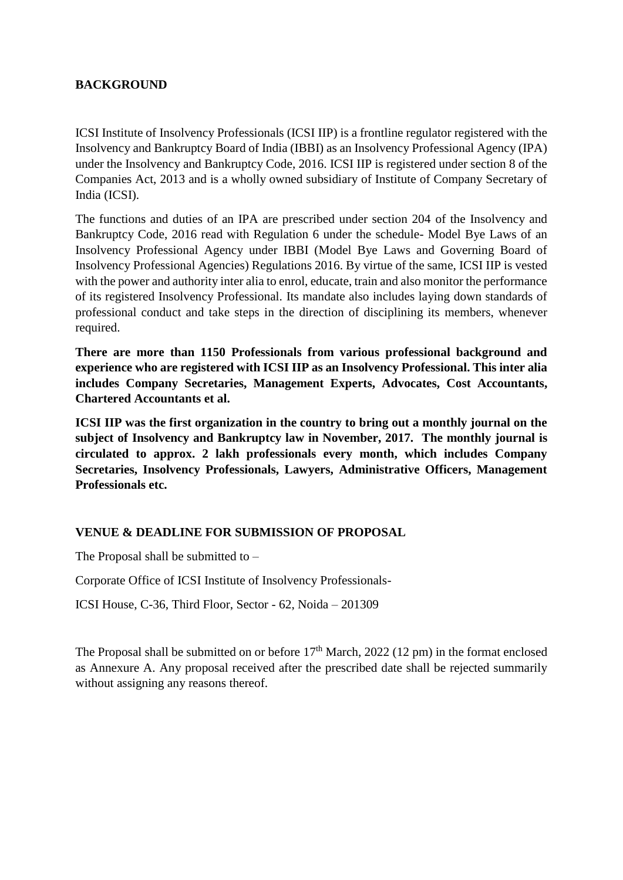#### **BACKGROUND**

ICSI Institute of Insolvency Professionals (ICSI IIP) is a frontline regulator registered with the Insolvency and Bankruptcy Board of India (IBBI) as an Insolvency Professional Agency (IPA) under the Insolvency and Bankruptcy Code, 2016. ICSI IIP is registered under section 8 of the Companies Act, 2013 and is a wholly owned subsidiary of Institute of Company Secretary of India (ICSI).

The functions and duties of an IPA are prescribed under section 204 of the Insolvency and Bankruptcy Code, 2016 read with Regulation 6 under the schedule- Model Bye Laws of an Insolvency Professional Agency under IBBI (Model Bye Laws and Governing Board of Insolvency Professional Agencies) Regulations 2016. By virtue of the same, ICSI IIP is vested with the power and authority inter alia to enrol, educate, train and also monitor the performance of its registered Insolvency Professional. Its mandate also includes laying down standards of professional conduct and take steps in the direction of disciplining its members, whenever required.

**There are more than 1150 Professionals from various professional background and experience who are registered with ICSI IIP as an Insolvency Professional. This inter alia includes Company Secretaries, Management Experts, Advocates, Cost Accountants, Chartered Accountants et al.**

**ICSI IIP was the first organization in the country to bring out a monthly journal on the subject of Insolvency and Bankruptcy law in November, 2017. The monthly journal is circulated to approx. 2 lakh professionals every month, which includes Company Secretaries, Insolvency Professionals, Lawyers, Administrative Officers, Management Professionals etc.**

## **VENUE & DEADLINE FOR SUBMISSION OF PROPOSAL**

The Proposal shall be submitted to  $-$ 

Corporate Office of ICSI Institute of Insolvency Professionals-

ICSI House, C-36, Third Floor, Sector - 62, Noida – 201309

The Proposal shall be submitted on or before  $17<sup>th</sup>$  March, 2022 (12 pm) in the format enclosed as Annexure A. Any proposal received after the prescribed date shall be rejected summarily without assigning any reasons thereof.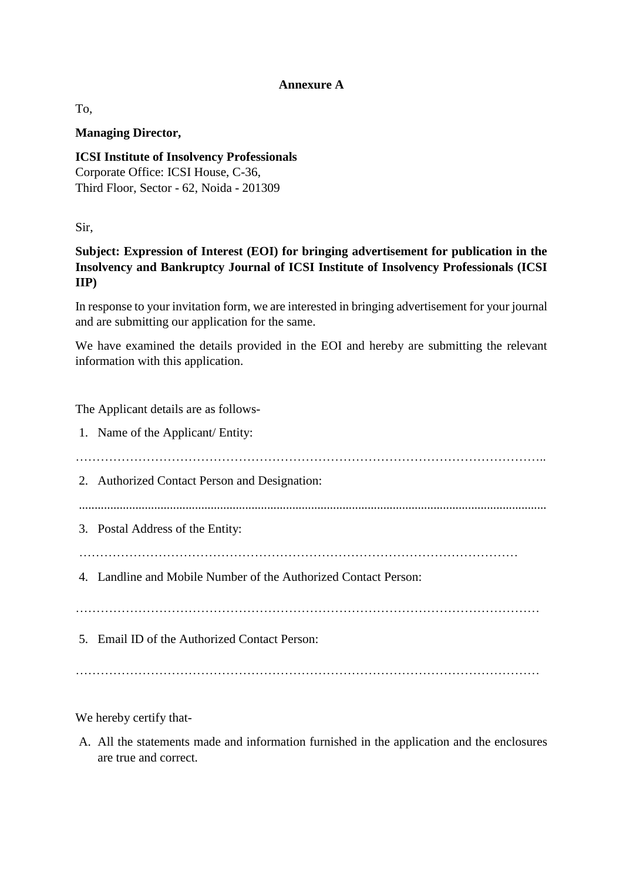#### **Annexure A**

To,

#### **Managing Director,**

**ICSI Institute of Insolvency Professionals** Corporate Office: ICSI House, C-36, Third Floor, Sector - 62, Noida - 201309

Sir,

**Subject: Expression of Interest (EOI) for bringing advertisement for publication in the Insolvency and Bankruptcy Journal of ICSI Institute of Insolvency Professionals (ICSI IIP)**

In response to your invitation form, we are interested in bringing advertisement for your journal and are submitting our application for the same.

We have examined the details provided in the EOI and hereby are submitting the relevant information with this application.

The Applicant details are as follows-

1. Name of the Applicant/ Entity: ………………………………………………………………………………………………….. 2. Authorized Contact Person and Designation: ..................................................................................................................................................... 3. Postal Address of the Entity: …………………………………………………………………………………………… 4. Landline and Mobile Number of the Authorized Contact Person: ………………………………………………………………………………………………… 5. Email ID of the Authorized Contact Person: …………………………………………………………………………………………………

We hereby certify that-

A. All the statements made and information furnished in the application and the enclosures are true and correct.